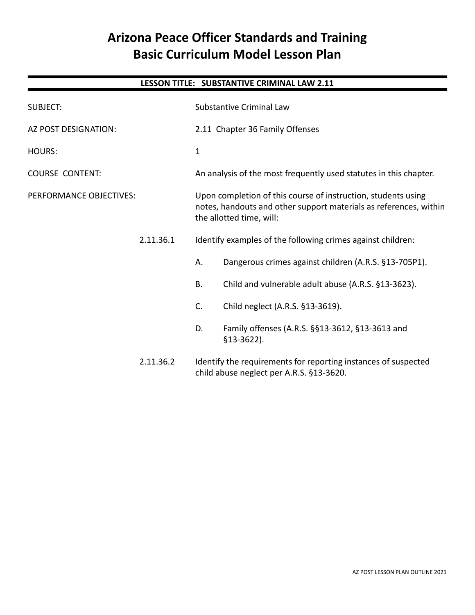# **Arizona Peace Officer Standards and Training Basic Curriculum Model Lesson Plan**

# **LESSON TITLE: SUBSTANTIVE CRIMINAL LAW 2.11**

| <b>SUBJECT:</b>         |           | Substantive Criminal Law                                                                                                                                       |                                                                                                            |  |
|-------------------------|-----------|----------------------------------------------------------------------------------------------------------------------------------------------------------------|------------------------------------------------------------------------------------------------------------|--|
| AZ POST DESIGNATION:    |           | 2.11 Chapter 36 Family Offenses                                                                                                                                |                                                                                                            |  |
| <b>HOURS:</b>           |           | $\mathbf{1}$                                                                                                                                                   |                                                                                                            |  |
| <b>COURSE CONTENT:</b>  |           | An analysis of the most frequently used statutes in this chapter.                                                                                              |                                                                                                            |  |
| PERFORMANCE OBJECTIVES: |           | Upon completion of this course of instruction, students using<br>notes, handouts and other support materials as references, within<br>the allotted time, will: |                                                                                                            |  |
|                         | 2.11.36.1 |                                                                                                                                                                | Identify examples of the following crimes against children:                                                |  |
|                         |           | Α.                                                                                                                                                             | Dangerous crimes against children (A.R.S. §13-705P1).                                                      |  |
|                         |           | <b>B.</b>                                                                                                                                                      | Child and vulnerable adult abuse (A.R.S. §13-3623).                                                        |  |
|                         |           | C.                                                                                                                                                             | Child neglect (A.R.S. §13-3619).                                                                           |  |
|                         |           | D.                                                                                                                                                             | Family offenses (A.R.S. §§13-3612, §13-3613 and<br>$$13-3622$ ).                                           |  |
|                         | 2.11.36.2 |                                                                                                                                                                | Identify the requirements for reporting instances of suspected<br>child abuse neglect per A.R.S. §13-3620. |  |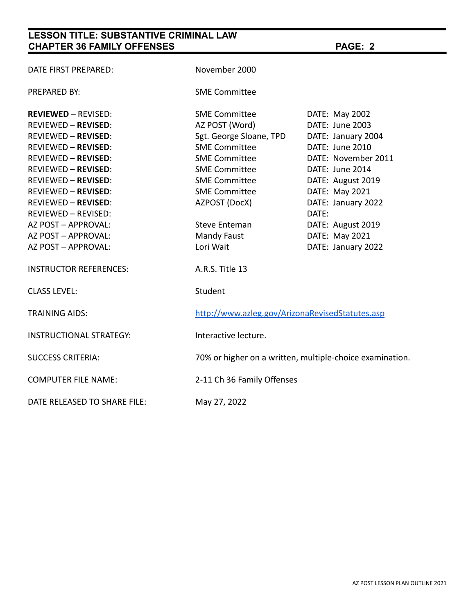# **LESSON TITLE: SUBSTANTIVE CRIMINAL LAW CHAPTER 36 FAMILY OFFENSES PAGE: 2**

| DATE FIRST PREPARED:           | November 2000                                            |                     |
|--------------------------------|----------------------------------------------------------|---------------------|
| PREPARED BY:                   | <b>SME Committee</b>                                     |                     |
| <b>REVIEWED - REVISED:</b>     | <b>SME Committee</b>                                     | DATE: May 2002      |
| <b>REVIEWED - REVISED:</b>     | AZ POST (Word)                                           | DATE: June 2003     |
| <b>REVIEWED - REVISED:</b>     | Sgt. George Sloane, TPD                                  | DATE: January 2004  |
| <b>REVIEWED - REVISED:</b>     | <b>SME Committee</b>                                     | DATE: June 2010     |
| <b>REVIEWED - REVISED:</b>     | <b>SME Committee</b>                                     | DATE: November 2011 |
| <b>REVIEWED - REVISED:</b>     | <b>SME Committee</b>                                     | DATE: June 2014     |
| <b>REVIEWED - REVISED:</b>     | <b>SME Committee</b>                                     | DATE: August 2019   |
| <b>REVIEWED - REVISED:</b>     | <b>SME Committee</b>                                     | DATE: May 2021      |
| <b>REVIEWED - REVISED:</b>     | AZPOST (DocX)                                            | DATE: January 2022  |
| REVIEWED - REVISED:            |                                                          | DATE:               |
| AZ POST - APPROVAL:            | Steve Enteman                                            | DATE: August 2019   |
| AZ POST - APPROVAL:            | Mandy Faust                                              | DATE: May 2021      |
| AZ POST - APPROVAL:            | Lori Wait                                                | DATE: January 2022  |
| <b>INSTRUCTOR REFERENCES:</b>  | A.R.S. Title 13                                          |                     |
| <b>CLASS LEVEL:</b>            | Student                                                  |                     |
| <b>TRAINING AIDS:</b>          | http://www.azleg.gov/ArizonaRevisedStatutes.asp          |                     |
| <b>INSTRUCTIONAL STRATEGY:</b> | Interactive lecture.                                     |                     |
| <b>SUCCESS CRITERIA:</b>       | 70% or higher on a written, multiple-choice examination. |                     |
| <b>COMPUTER FILE NAME:</b>     | 2-11 Ch 36 Family Offenses                               |                     |
| DATE RELEASED TO SHARE FILE:   | May 27, 2022                                             |                     |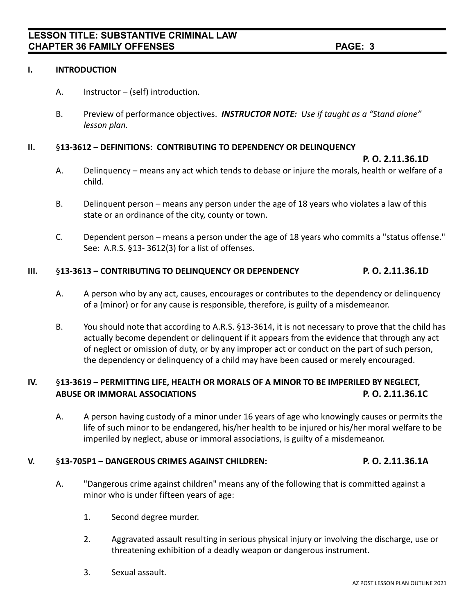#### **I. INTRODUCTION**

- A. Instructor (self) introduction.
- B. Preview of performance objectives. *INSTRUCTOR NOTE: Use if taught as a "Stand alone" lesson plan.*

### **II.** §**13-3612 – DEFINITIONS: CONTRIBUTING TO DEPENDENCY OR DELINQUENCY**

**P. O. 2.11.36.1D**

- A. Delinquency means any act which tends to debase or injure the morals, health or welfare of a child.
- B. Delinquent person means any person under the age of 18 years who violates a law of this state or an ordinance of the city, county or town.
- C. Dependent person means a person under the age of 18 years who commits a "status offense." See: A.R.S. §13- 3612(3) for a list of offenses.

### **III.** §**13-3613 – CONTRIBUTING TO DELINQUENCY OR DEPENDENCY P. O. 2.11.36.1D**

- A. A person who by any act, causes, encourages or contributes to the dependency or delinquency of a (minor) or for any cause is responsible, therefore, is guilty of a misdemeanor.
- B. You should note that according to A.R.S. §13-3614, it is not necessary to prove that the child has actually become dependent or delinquent if it appears from the evidence that through any act of neglect or omission of duty, or by any improper act or conduct on the part of such person, the dependency or delinquency of a child may have been caused or merely encouraged.

# **IV.** §**13-3619 – PERMITTING LIFE, HEALTH OR MORALS OF A MINOR TO BE IMPERILED BY NEGLECT, ABUSE OR IMMORAL ASSOCIATIONS P. O. 2.11.36.1C**

A. A person having custody of a minor under 16 years of age who knowingly causes or permits the life of such minor to be endangered, his/her health to be injured or his/her moral welfare to be imperiled by neglect, abuse or immoral associations, is guilty of a misdemeanor.

### **V.** §**13-705P1 – DANGEROUS CRIMES AGAINST CHILDREN: P. O. 2.11.36.1A**

- A. "Dangerous crime against children" means any of the following that is committed against a minor who is under fifteen years of age:
	- 1. Second degree murder.
	- 2. Aggravated assault resulting in serious physical injury or involving the discharge, use or threatening exhibition of a deadly weapon or dangerous instrument.
	- 3. Sexual assault.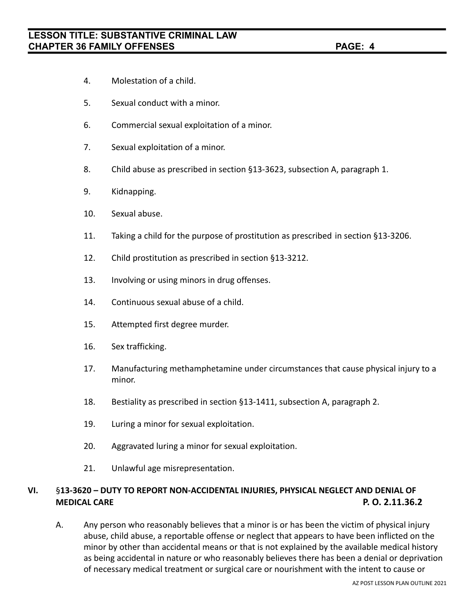- 4. Molestation of a child.
- 5. Sexual conduct with a minor.
- 6. Commercial sexual exploitation of a minor.
- 7. Sexual exploitation of a minor.
- 8. Child abuse as prescribed in section §13-3623, subsection A, paragraph 1.
- 9. Kidnapping.
- 10. Sexual abuse.
- 11. Taking a child for the purpose of prostitution as prescribed in section §13-3206.
- 12. Child prostitution as prescribed in section §13-3212.
- 13. Involving or using minors in drug offenses.
- 14. Continuous sexual abuse of a child.
- 15. Attempted first degree murder.
- 16. Sex trafficking.
- 17. Manufacturing methamphetamine under circumstances that cause physical injury to a minor.
- 18. Bestiality as prescribed in section §13-1411, subsection A, paragraph 2.
- 19. Luring a minor for sexual exploitation.
- 20. Aggravated luring a minor for sexual exploitation.
- 21. Unlawful age misrepresentation.

## **VI.** §**13-3620 – DUTY TO REPORT NON-ACCIDENTAL INJURIES, PHYSICAL NEGLECT AND DENIAL OF MEDICAL CARE P. O. 2.11.36.2**

A. Any person who reasonably believes that a minor is or has been the victim of physical injury abuse, child abuse, a reportable offense or neglect that appears to have been inflicted on the minor by other than accidental means or that is not explained by the available medical history as being accidental in nature or who reasonably believes there has been a denial or deprivation of necessary medical treatment or surgical care or nourishment with the intent to cause or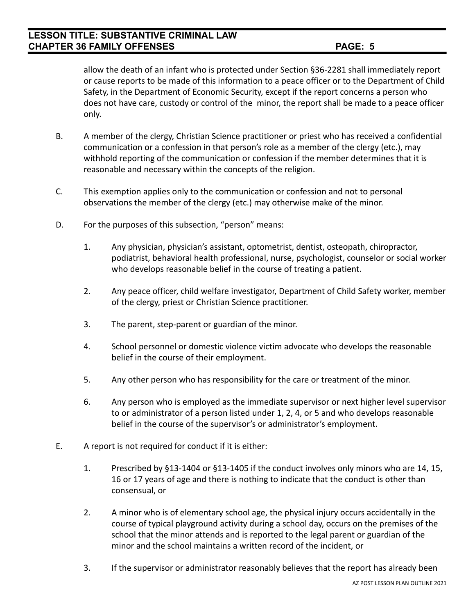# **LESSON TITLE: SUBSTANTIVE CRIMINAL LAW CHAPTER 36 FAMILY OFFENSES PAGE: 5**

allow the death of an infant who is protected under Section §36-2281 shall immediately report or cause reports to be made of this information to a peace officer or to the Department of Child Safety, in the Department of Economic Security, except if the report concerns a person who does not have care, custody or control of the minor, the report shall be made to a peace officer only.

- B. A member of the clergy, Christian Science practitioner or priest who has received a confidential communication or a confession in that person's role as a member of the clergy (etc.), may withhold reporting of the communication or confession if the member determines that it is reasonable and necessary within the concepts of the religion.
- C. This exemption applies only to the communication or confession and not to personal observations the member of the clergy (etc.) may otherwise make of the minor.
- D. For the purposes of this subsection, "person" means:
	- 1. Any physician, physician's assistant, optometrist, dentist, osteopath, chiropractor, podiatrist, behavioral health professional, nurse, psychologist, counselor or social worker who develops reasonable belief in the course of treating a patient.
	- 2. Any peace officer, child welfare investigator, Department of Child Safety worker, member of the clergy, priest or Christian Science practitioner.
	- 3. The parent, step-parent or guardian of the minor.
	- 4. School personnel or domestic violence victim advocate who develops the reasonable belief in the course of their employment.
	- 5. Any other person who has responsibility for the care or treatment of the minor.
	- 6. Any person who is employed as the immediate supervisor or next higher level supervisor to or administrator of a person listed under 1, 2, 4, or 5 and who develops reasonable belief in the course of the supervisor's or administrator's employment.
- E. A report is not required for conduct if it is either:
	- 1. Prescribed by §13-1404 or §13-1405 if the conduct involves only minors who are 14, 15, 16 or 17 years of age and there is nothing to indicate that the conduct is other than consensual, or
	- 2. A minor who is of elementary school age, the physical injury occurs accidentally in the course of typical playground activity during a school day, occurs on the premises of the school that the minor attends and is reported to the legal parent or guardian of the minor and the school maintains a written record of the incident, or
	- 3. If the supervisor or administrator reasonably believes that the report has already been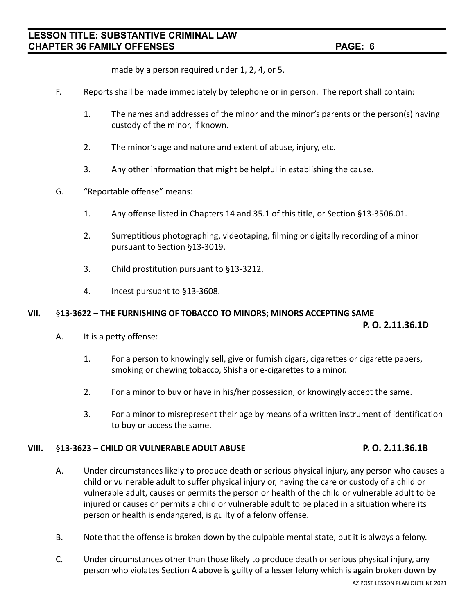made by a person required under 1, 2, 4, or 5.

- F. Reports shall be made immediately by telephone or in person. The report shall contain:
	- 1. The names and addresses of the minor and the minor's parents or the person(s) having custody of the minor, if known.
	- 2. The minor's age and nature and extent of abuse, injury, etc.
	- 3. Any other information that might be helpful in establishing the cause.
- G. "Reportable offense" means:
	- 1. Any offense listed in Chapters 14 and 35.1 of this title, or Section §13-3506.01.
	- 2. Surreptitious photographing, videotaping, filming or digitally recording of a minor pursuant to Section §13-3019.
	- 3. Child prostitution pursuant to §13-3212.
	- 4. Incest pursuant to §13-3608.

#### **VII.** §**13-3622 – THE FURNISHING OF TOBACCO TO MINORS; MINORS ACCEPTING SAME**

**P. O. 2.11.36.1D**

- A. It is a petty offense:
	- 1. For a person to knowingly sell, give or furnish cigars, cigarettes or cigarette papers, smoking or chewing tobacco, Shisha or e-cigarettes to a minor.
	- 2. For a minor to buy or have in his/her possession, or knowingly accept the same.
	- 3. For a minor to misrepresent their age by means of a written instrument of identification to buy or access the same.

#### **VIII.** §**13-3623 – CHILD OR VULNERABLE ADULT ABUSE P. O. 2.11.36.1B**

- A. Under circumstances likely to produce death or serious physical injury, any person who causes a child or vulnerable adult to suffer physical injury or, having the care or custody of a child or vulnerable adult, causes or permits the person or health of the child or vulnerable adult to be injured or causes or permits a child or vulnerable adult to be placed in a situation where its person or health is endangered, is guilty of a felony offense.
- B. Note that the offense is broken down by the culpable mental state, but it is always a felony.
- C. Under circumstances other than those likely to produce death or serious physical injury, any person who violates Section A above is guilty of a lesser felony which is again broken down by